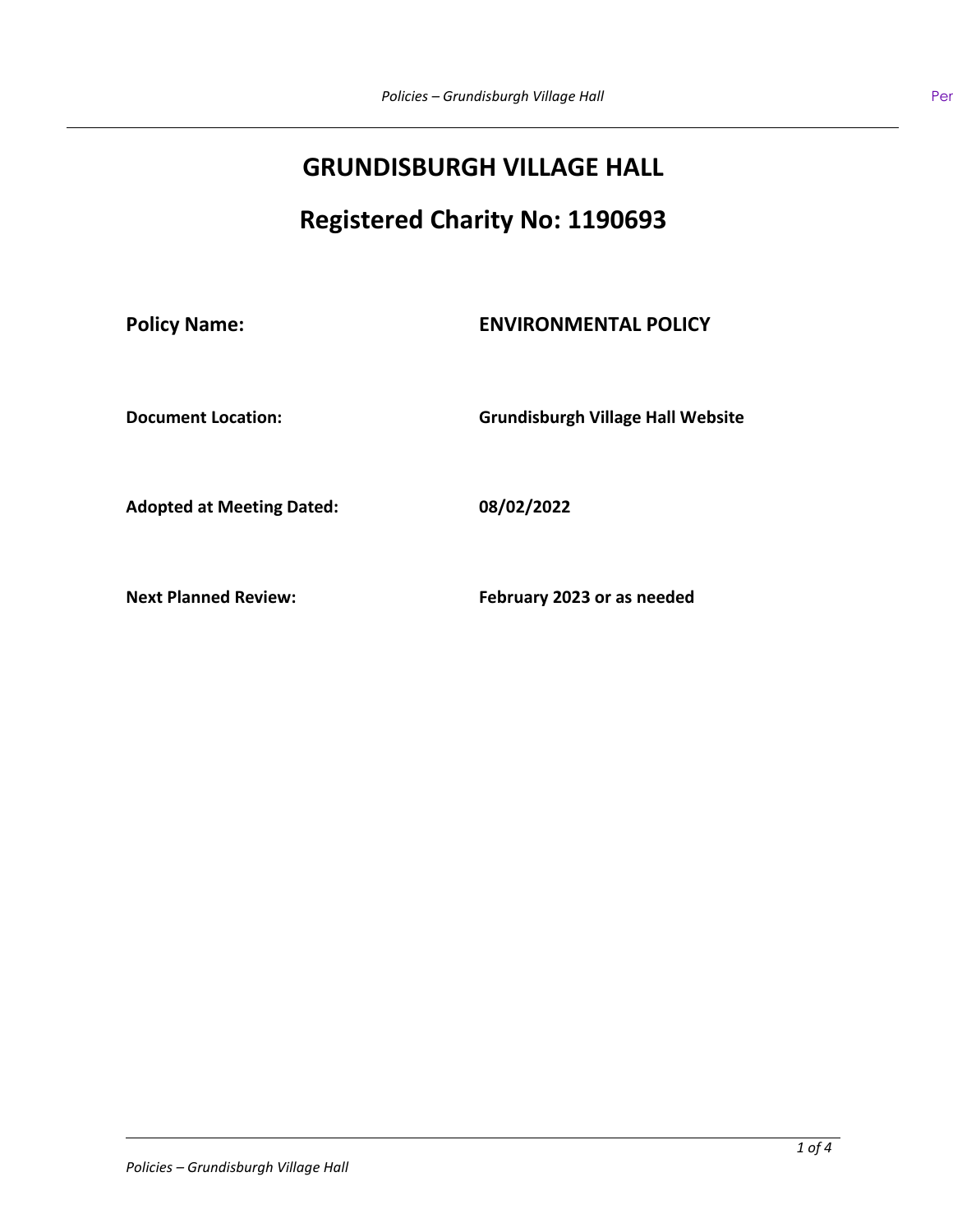# **GRUNDISBURGH VILLAGE HALL**

# **Registered Charity No: 1190693**

## **Policy Name: ENVIRONMENTAL POLICY**

**Document Location: Grundisburgh Village Hall Website**

**Adopted at Meeting Dated: 08/02/2022**

**Next Planned Review: February 2023 or as needed**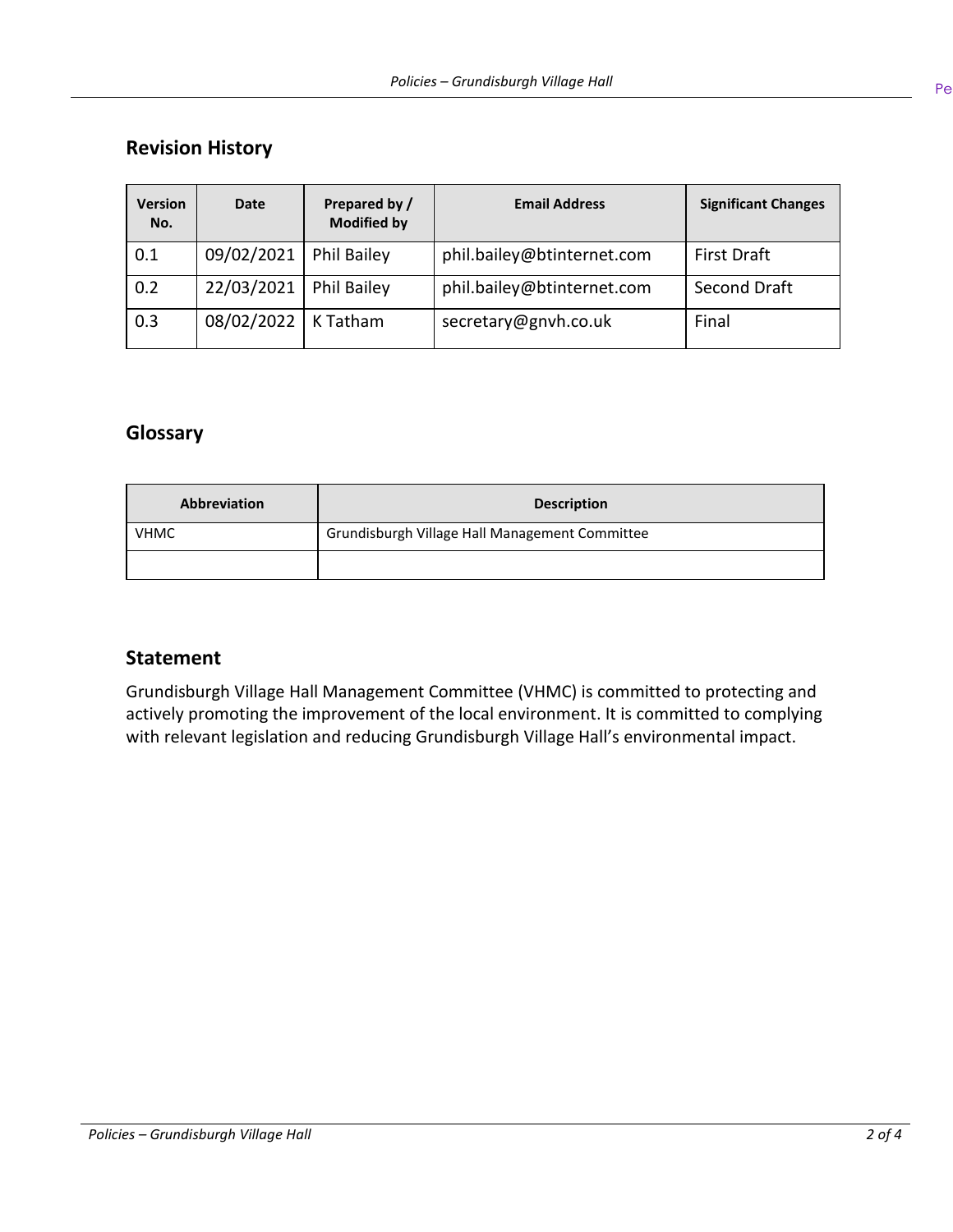# **Revision History**

| <b>Version</b><br>No. | <b>Date</b> | Prepared by /<br><b>Modified by</b> | <b>Email Address</b>       | <b>Significant Changes</b> |
|-----------------------|-------------|-------------------------------------|----------------------------|----------------------------|
| 0.1                   | 09/02/2021  | <b>Phil Bailey</b>                  | phil.bailey@btinternet.com | <b>First Draft</b>         |
| 0.2                   | 22/03/2021  | <b>Phil Bailey</b>                  | phil.bailey@btinternet.com | Second Draft               |
| 0.3                   | 08/02/2022  | K Tatham                            | secretary@gnvh.co.uk       | Final                      |

## **Glossary**

| <b>Abbreviation</b> | <b>Description</b>                             |  |
|---------------------|------------------------------------------------|--|
| <b>VHMC</b>         | Grundisburgh Village Hall Management Committee |  |
|                     |                                                |  |

#### **Statement**

Grundisburgh Village Hall Management Committee (VHMC) is committed to protecting and actively promoting the improvement of the local environment. It is committed to complying with relevant legislation and reducing Grundisburgh Village Hall's environmental impact.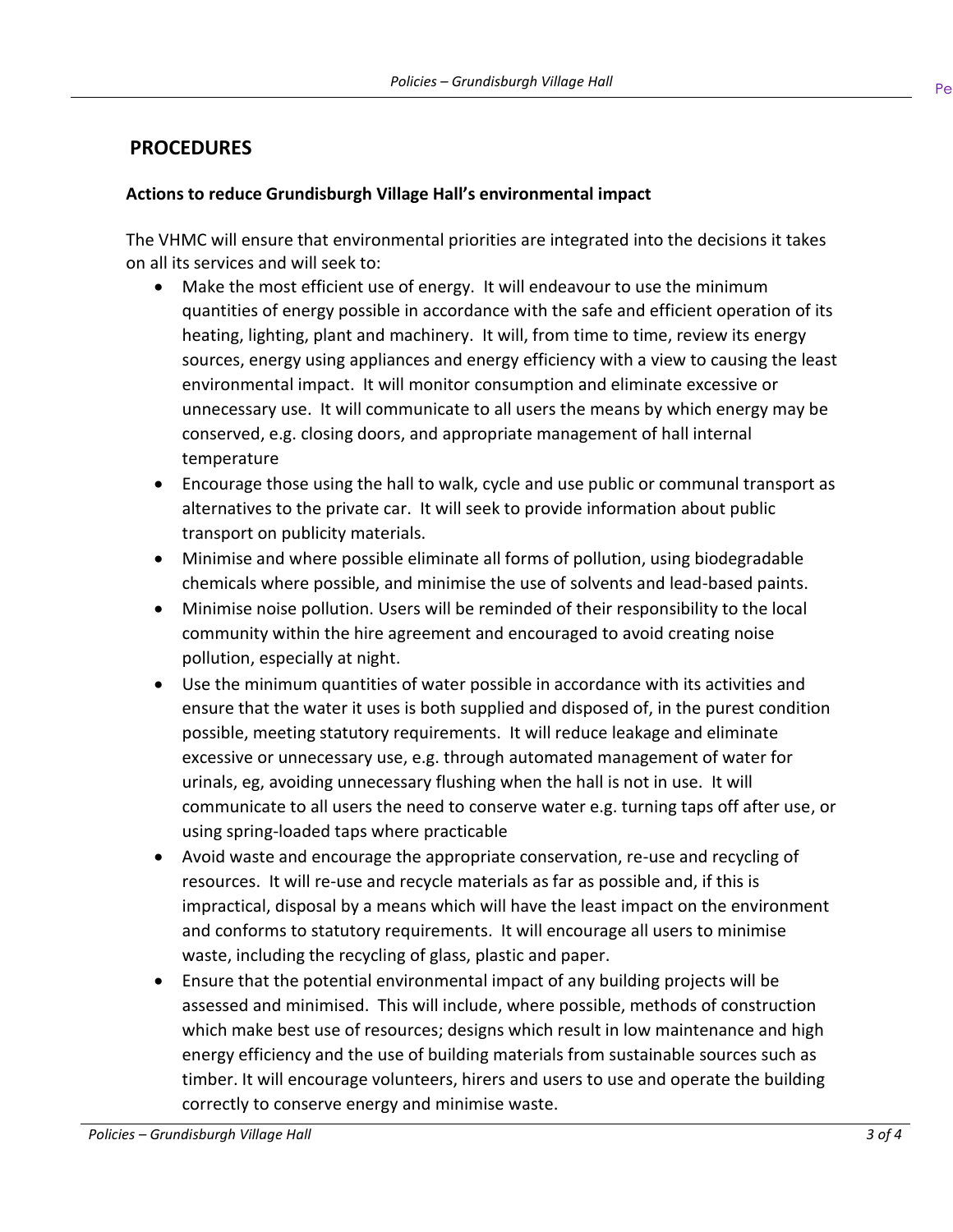### **PROCEDURES**

#### **Actions to reduce Grundisburgh Village Hall's environmental impact**

The VHMC will ensure that environmental priorities are integrated into the decisions it takes on all its services and will seek to:

- Make the most efficient use of energy. It will endeavour to use the minimum quantities of energy possible in accordance with the safe and efficient operation of its heating, lighting, plant and machinery. It will, from time to time, review its energy sources, energy using appliances and energy efficiency with a view to causing the least environmental impact. It will monitor consumption and eliminate excessive or unnecessary use. It will communicate to all users the means by which energy may be conserved, e.g. closing doors, and appropriate management of hall internal temperature
- Encourage those using the hall to walk, cycle and use public or communal transport as alternatives to the private car. It will seek to provide information about public transport on publicity materials.
- Minimise and where possible eliminate all forms of pollution, using biodegradable chemicals where possible, and minimise the use of solvents and lead-based paints.
- Minimise noise pollution. Users will be reminded of their responsibility to the local community within the hire agreement and encouraged to avoid creating noise pollution, especially at night.
- Use the minimum quantities of water possible in accordance with its activities and ensure that the water it uses is both supplied and disposed of, in the purest condition possible, meeting statutory requirements. It will reduce leakage and eliminate excessive or unnecessary use, e.g. through automated management of water for urinals, eg, avoiding unnecessary flushing when the hall is not in use. It will communicate to all users the need to conserve water e.g. turning taps off after use, or using spring-loaded taps where practicable
- Avoid waste and encourage the appropriate conservation, re-use and recycling of resources. It will re-use and recycle materials as far as possible and, if this is impractical, disposal by a means which will have the least impact on the environment and conforms to statutory requirements. It will encourage all users to minimise waste, including the recycling of glass, plastic and paper.
- Ensure that the potential environmental impact of any building projects will be assessed and minimised. This will include, where possible, methods of construction which make best use of resources; designs which result in low maintenance and high energy efficiency and the use of building materials from sustainable sources such as timber. It will encourage volunteers, hirers and users to use and operate the building correctly to conserve energy and minimise waste.